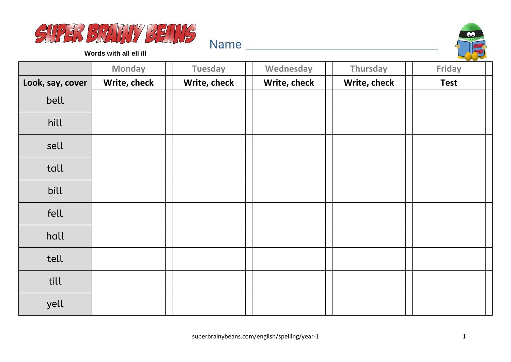



**Words with all ell ill**

|                  | <b>Monday</b> | <b>Tuesday</b> | Wednesday    | Thursday     | Friday      |
|------------------|---------------|----------------|--------------|--------------|-------------|
| Look, say, cover | Write, check  | Write, check   | Write, check | Write, check | <b>Test</b> |
| bell             |               |                |              |              |             |
| hill             |               |                |              |              |             |
| sell             |               |                |              |              |             |
| tall             |               |                |              |              |             |
| bill             |               |                |              |              |             |
| fell             |               |                |              |              |             |
| hall             |               |                |              |              |             |
| tell             |               |                |              |              |             |
| till             |               |                |              |              |             |
| yell             |               |                |              |              |             |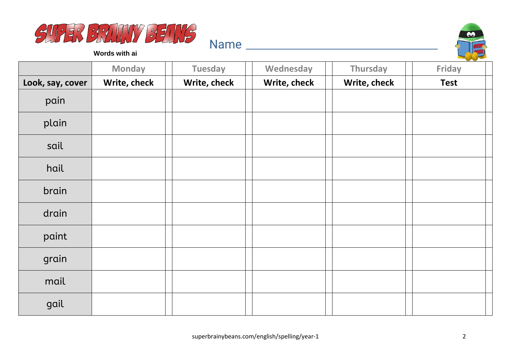



**Words with ai**

|                  | <b>Monday</b> | <b>Tuesday</b> | Wednesday    | Thursday     | $\sim$<br>Friday |
|------------------|---------------|----------------|--------------|--------------|------------------|
| Look, say, cover | Write, check  | Write, check   | Write, check | Write, check | <b>Test</b>      |
| pain             |               |                |              |              |                  |
| plain            |               |                |              |              |                  |
| sail             |               |                |              |              |                  |
| hail             |               |                |              |              |                  |
| brain            |               |                |              |              |                  |
| drain            |               |                |              |              |                  |
| paint            |               |                |              |              |                  |
| grain            |               |                |              |              |                  |
| mail             |               |                |              |              |                  |
| gail             |               |                |              |              |                  |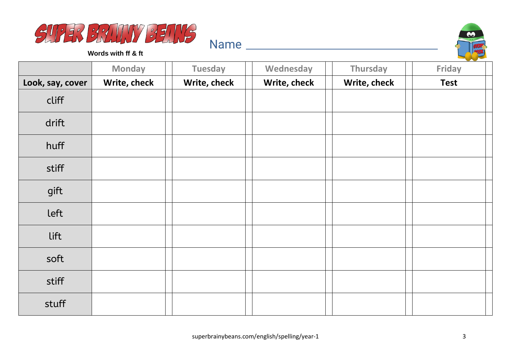



**Words with ff & ft**

|                  | <b>Monday</b> | <b>Tuesday</b> | Wednesday    | Thursday     | $\sim$<br>Friday |
|------------------|---------------|----------------|--------------|--------------|------------------|
| Look, say, cover | Write, check  | Write, check   | Write, check | Write, check | <b>Test</b>      |
| cliff            |               |                |              |              |                  |
| drift            |               |                |              |              |                  |
| huff             |               |                |              |              |                  |
| stiff            |               |                |              |              |                  |
| gift             |               |                |              |              |                  |
| left             |               |                |              |              |                  |
| lift             |               |                |              |              |                  |
| soft             |               |                |              |              |                  |
| stiff            |               |                |              |              |                  |
| stuff            |               |                |              |              |                  |

Name and the second state of the second state of the second state  $\sim$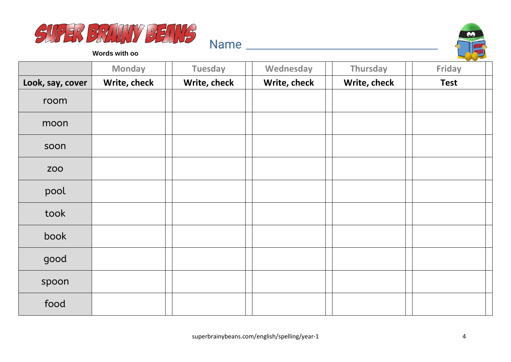



**Words with oo**

|                  | <b>Monday</b> | <b>Tuesday</b> | Wednesday    | <b>Thursday</b> | Friday      |
|------------------|---------------|----------------|--------------|-----------------|-------------|
| Look, say, cover | Write, check  | Write, check   | Write, check | Write, check    | <b>Test</b> |
| room             |               |                |              |                 |             |
| moon             |               |                |              |                 |             |
| soon             |               |                |              |                 |             |
| <b>ZOO</b>       |               |                |              |                 |             |
| pool             |               |                |              |                 |             |
| took             |               |                |              |                 |             |
| book             |               |                |              |                 |             |
| good             |               |                |              |                 |             |
| spoon            |               |                |              |                 |             |
| food             |               |                |              |                 |             |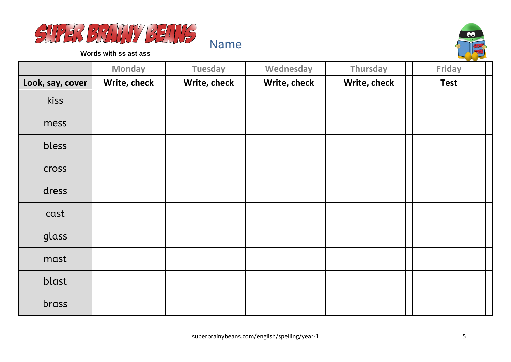



**Words with ss ast ass**

|                  | <b>Monday</b> | <b>Tuesday</b> | Wednesday    | Thursday     | Friday      |
|------------------|---------------|----------------|--------------|--------------|-------------|
| Look, say, cover | Write, check  | Write, check   | Write, check | Write, check | <b>Test</b> |
| kiss             |               |                |              |              |             |
| mess             |               |                |              |              |             |
| bless            |               |                |              |              |             |
| <b>Cross</b>     |               |                |              |              |             |
| dress            |               |                |              |              |             |
| cast             |               |                |              |              |             |
| glass            |               |                |              |              |             |
| mast             |               |                |              |              |             |
| blast            |               |                |              |              |             |
| brass            |               |                |              |              |             |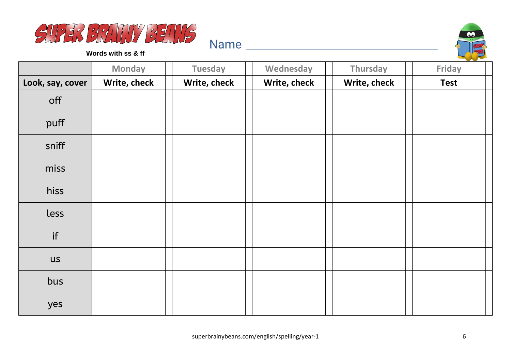



**Words with ss & ff**

|                  | <b>Monday</b> | <b>Tuesday</b> | Wednesday    | Thursday     | $\sim$<br>Friday |
|------------------|---------------|----------------|--------------|--------------|------------------|
| Look, say, cover | Write, check  | Write, check   | Write, check | Write, check | <b>Test</b>      |
| off              |               |                |              |              |                  |
| puff             |               |                |              |              |                  |
| sniff            |               |                |              |              |                  |
| miss             |               |                |              |              |                  |
| hiss             |               |                |              |              |                  |
| less             |               |                |              |              |                  |
| if               |               |                |              |              |                  |
| <b>US</b>        |               |                |              |              |                  |
| bus              |               |                |              |              |                  |
| yes              |               |                |              |              |                  |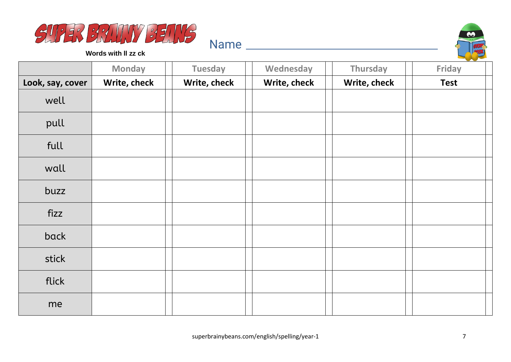



**Words with ll zz ck**

|                  | <b>Monday</b> | <b>Tuesday</b> | Wednesday    | Thursday     | <b>Contract Contract Contract</b><br>Friday |
|------------------|---------------|----------------|--------------|--------------|---------------------------------------------|
| Look, say, cover | Write, check  | Write, check   | Write, check | Write, check | <b>Test</b>                                 |
| well             |               |                |              |              |                                             |
| pull             |               |                |              |              |                                             |
| full             |               |                |              |              |                                             |
| wall             |               |                |              |              |                                             |
| buzz             |               |                |              |              |                                             |
| fizz             |               |                |              |              |                                             |
| back             |               |                |              |              |                                             |
| stick            |               |                |              |              |                                             |
| flick            |               |                |              |              |                                             |
| me               |               |                |              |              |                                             |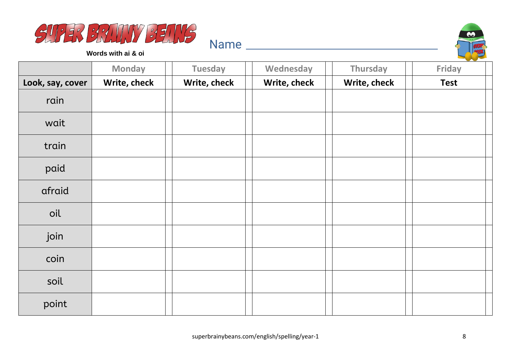



**Words with ai & oi**

|                  | <b>Monday</b> | <b>Tuesday</b> | Wednesday    | Thursday     | $\sim$<br>Friday |
|------------------|---------------|----------------|--------------|--------------|------------------|
| Look, say, cover | Write, check  | Write, check   | Write, check | Write, check | <b>Test</b>      |
| rain             |               |                |              |              |                  |
| wait             |               |                |              |              |                  |
| train            |               |                |              |              |                  |
| paid             |               |                |              |              |                  |
| afraid           |               |                |              |              |                  |
| oil              |               |                |              |              |                  |
| join             |               |                |              |              |                  |
| coin             |               |                |              |              |                  |
| soil             |               |                |              |              |                  |
| point            |               |                |              |              |                  |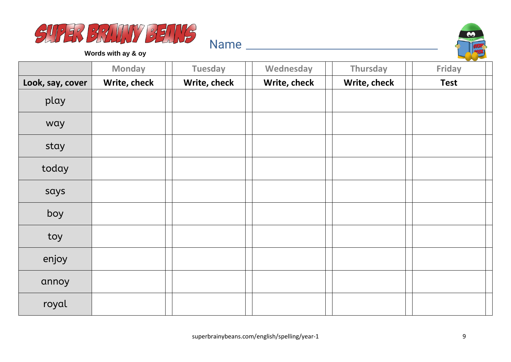



**Words with ay & oy**

|                  | <b>Monday</b> | <b>Tuesday</b> | Wednesday    | Thursday     | <b>Friday</b> |
|------------------|---------------|----------------|--------------|--------------|---------------|
| Look, say, cover | Write, check  | Write, check   | Write, check | Write, check | <b>Test</b>   |
| play             |               |                |              |              |               |
| way              |               |                |              |              |               |
| stay             |               |                |              |              |               |
| today            |               |                |              |              |               |
| says             |               |                |              |              |               |
| boy              |               |                |              |              |               |
| toy              |               |                |              |              |               |
| enjoy            |               |                |              |              |               |
| annoy            |               |                |              |              |               |
| royal            |               |                |              |              |               |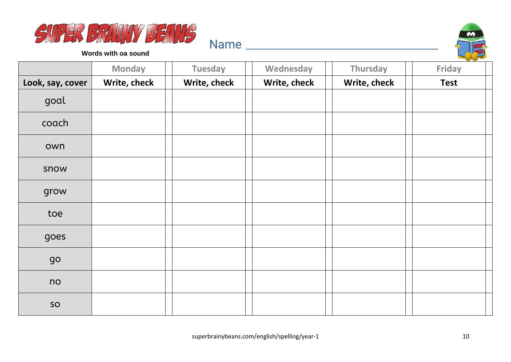



**Words with oa sound**

|                  | <b>Monday</b> | <b>Tuesday</b> | Wednesday    | Thursday     | Friday      |
|------------------|---------------|----------------|--------------|--------------|-------------|
| Look, say, cover | Write, check  | Write, check   | Write, check | Write, check | <b>Test</b> |
| goal             |               |                |              |              |             |
| coach            |               |                |              |              |             |
| own              |               |                |              |              |             |
| snow             |               |                |              |              |             |
| grow             |               |                |              |              |             |
| toe              |               |                |              |              |             |
| goes             |               |                |              |              |             |
| go               |               |                |              |              |             |
| no               |               |                |              |              |             |
| SO               |               |                |              |              |             |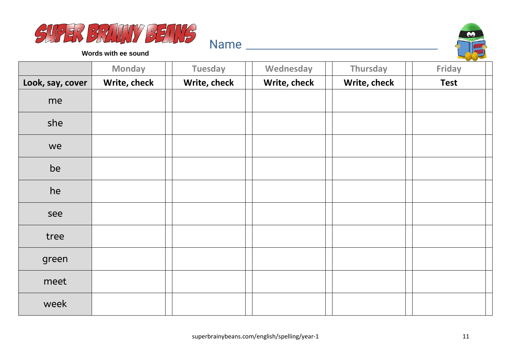



**Words with ee sound**

|                  | <b>Monday</b> | <b>Tuesday</b> | Wednesday    | Thursday     | Friday      |
|------------------|---------------|----------------|--------------|--------------|-------------|
| Look, say, cover | Write, check  | Write, check   | Write, check | Write, check | <b>Test</b> |
| me               |               |                |              |              |             |
| she              |               |                |              |              |             |
| we               |               |                |              |              |             |
| be               |               |                |              |              |             |
| he               |               |                |              |              |             |
| see              |               |                |              |              |             |
| tree             |               |                |              |              |             |
| green            |               |                |              |              |             |
| meet             |               |                |              |              |             |
| week             |               |                |              |              |             |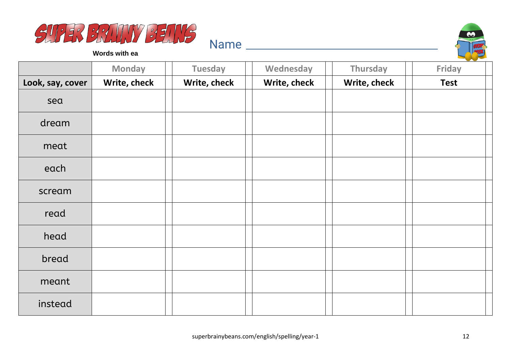



**Words with ea**

|                  | <b>Monday</b> | <b>Tuesday</b> | Wednesday    | Thursday     | <b>Friday</b> |
|------------------|---------------|----------------|--------------|--------------|---------------|
| Look, say, cover | Write, check  | Write, check   | Write, check | Write, check | <b>Test</b>   |
| sea              |               |                |              |              |               |
| dream            |               |                |              |              |               |
| meat             |               |                |              |              |               |
| each             |               |                |              |              |               |
| scream           |               |                |              |              |               |
| read             |               |                |              |              |               |
| head             |               |                |              |              |               |
| bread            |               |                |              |              |               |
| meant            |               |                |              |              |               |
| instead          |               |                |              |              |               |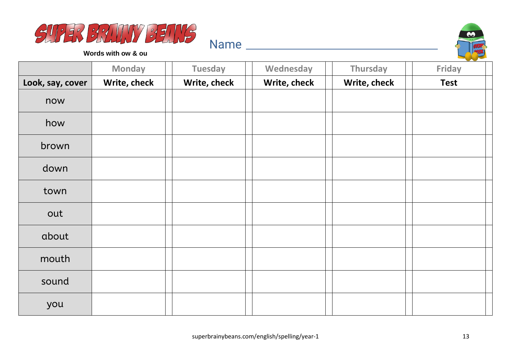



**Words with ow & ou**

|                  | <b>Monday</b> | <b>Tuesday</b> | Wednesday    | Thursday     | Friday      |
|------------------|---------------|----------------|--------------|--------------|-------------|
| Look, say, cover | Write, check  | Write, check   | Write, check | Write, check | <b>Test</b> |
| now              |               |                |              |              |             |
| how              |               |                |              |              |             |
| brown            |               |                |              |              |             |
| down             |               |                |              |              |             |
| town             |               |                |              |              |             |
| out              |               |                |              |              |             |
| about            |               |                |              |              |             |
| mouth            |               |                |              |              |             |
| sound            |               |                |              |              |             |
| you              |               |                |              |              |             |

Name and the set of the set of the set of the set of the set of the set of the set of the set of the set of the set of the set of the set of the set of the set of the set of the set of the set of the set of the set of the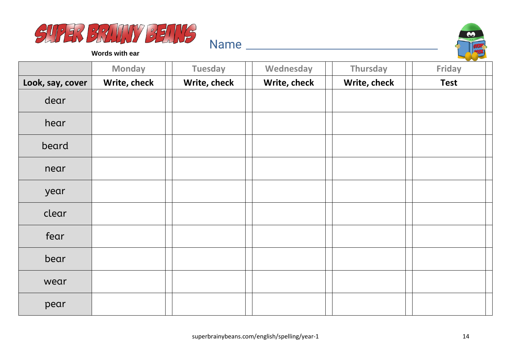



**Words with ear**

|                  | <b>Monday</b> | <b>Tuesday</b> | Wednesday    | Thursday     | <b>Friday</b> |
|------------------|---------------|----------------|--------------|--------------|---------------|
| Look, say, cover | Write, check  | Write, check   | Write, check | Write, check | <b>Test</b>   |
| dear             |               |                |              |              |               |
| hear             |               |                |              |              |               |
| beard            |               |                |              |              |               |
| near             |               |                |              |              |               |
| year             |               |                |              |              |               |
| clear            |               |                |              |              |               |
| fear             |               |                |              |              |               |
| bear             |               |                |              |              |               |
| wear             |               |                |              |              |               |
| pear             |               |                |              |              |               |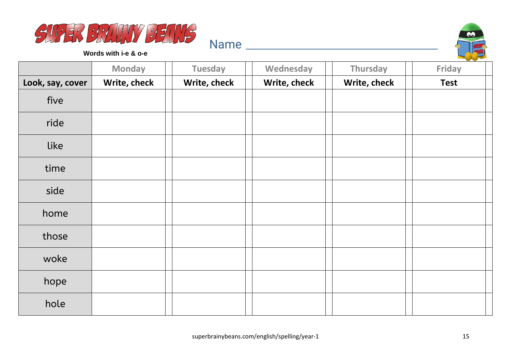



**Words with i-e & o-e**

|                  | <b>Monday</b> | <b>Tuesday</b> | Wednesday    | Thursday     | <b>Friday</b> |
|------------------|---------------|----------------|--------------|--------------|---------------|
| Look, say, cover | Write, check  | Write, check   | Write, check | Write, check | <b>Test</b>   |
| five             |               |                |              |              |               |
| ride             |               |                |              |              |               |
| like             |               |                |              |              |               |
| time             |               |                |              |              |               |
| side             |               |                |              |              |               |
| home             |               |                |              |              |               |
| those            |               |                |              |              |               |
| woke             |               |                |              |              |               |
| hope             |               |                |              |              |               |
| hole             |               |                |              |              |               |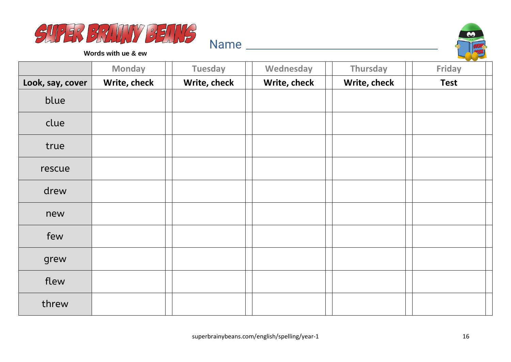



**Words with ue & ew**

|                  | <b>Monday</b> | <b>Tuesday</b> | Wednesday    | Thursday     | Friday      |
|------------------|---------------|----------------|--------------|--------------|-------------|
| Look, say, cover | Write, check  | Write, check   | Write, check | Write, check | <b>Test</b> |
| blue             |               |                |              |              |             |
| clue             |               |                |              |              |             |
| true             |               |                |              |              |             |
| rescue           |               |                |              |              |             |
| drew             |               |                |              |              |             |
| new              |               |                |              |              |             |
| few              |               |                |              |              |             |
| grew             |               |                |              |              |             |
| flew             |               |                |              |              |             |
| threw            |               |                |              |              |             |

Name and the set of the set of the set of the set of the set of the set of the set of the set of the set of the set of the set of the set of the set of the set of the set of the set of the set of the set of the set of the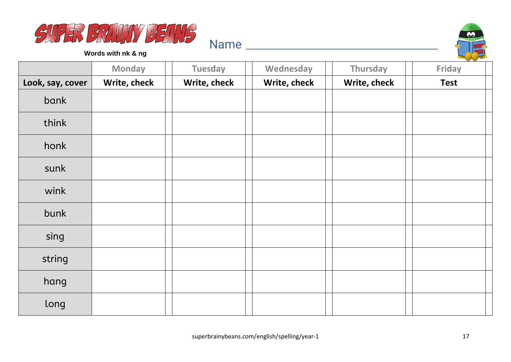



**Words with nk & ng**

|                  | <b>Monday</b> | <b>Tuesday</b> | Wednesday    | Thursday     | Friday      |
|------------------|---------------|----------------|--------------|--------------|-------------|
| Look, say, cover | Write, check  | Write, check   | Write, check | Write, check | <b>Test</b> |
| bank             |               |                |              |              |             |
| think            |               |                |              |              |             |
| honk             |               |                |              |              |             |
| sunk             |               |                |              |              |             |
| wink             |               |                |              |              |             |
| bunk             |               |                |              |              |             |
| sing             |               |                |              |              |             |
| string           |               |                |              |              |             |
| hang             |               |                |              |              |             |
| long             |               |                |              |              |             |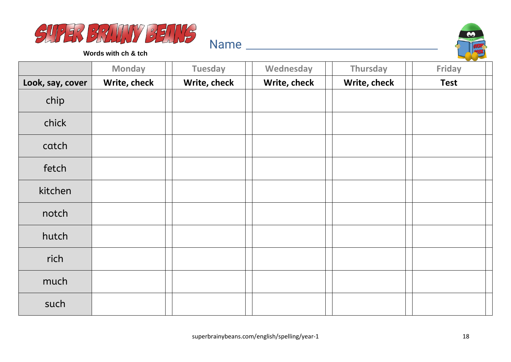



**Words with ch & tch**

|                  | <b>Monday</b> | <b>Tuesday</b> | Wednesday    | Thursday     | Friday      |
|------------------|---------------|----------------|--------------|--------------|-------------|
| Look, say, cover | Write, check  | Write, check   | Write, check | Write, check | <b>Test</b> |
| chip             |               |                |              |              |             |
| chick            |               |                |              |              |             |
| catch            |               |                |              |              |             |
| fetch            |               |                |              |              |             |
| kitchen          |               |                |              |              |             |
| notch            |               |                |              |              |             |
| hutch            |               |                |              |              |             |
| rich             |               |                |              |              |             |
| much             |               |                |              |              |             |
| such             |               |                |              |              |             |

Name and the second state of the second state of the second state  $\sim$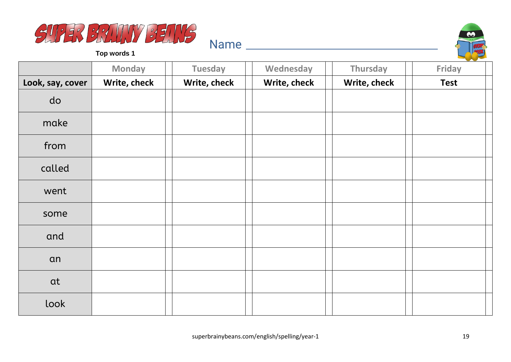



|                  | <b>Monday</b> | <b>Tuesday</b> | Wednesday    | Thursday     | <b>Friday</b> |
|------------------|---------------|----------------|--------------|--------------|---------------|
| Look, say, cover | Write, check  | Write, check   | Write, check | Write, check | <b>Test</b>   |
| do               |               |                |              |              |               |
| make             |               |                |              |              |               |
| from             |               |                |              |              |               |
| called           |               |                |              |              |               |
| went             |               |                |              |              |               |
| some             |               |                |              |              |               |
| and              |               |                |              |              |               |
| an               |               |                |              |              |               |
| at               |               |                |              |              |               |
| look             |               |                |              |              |               |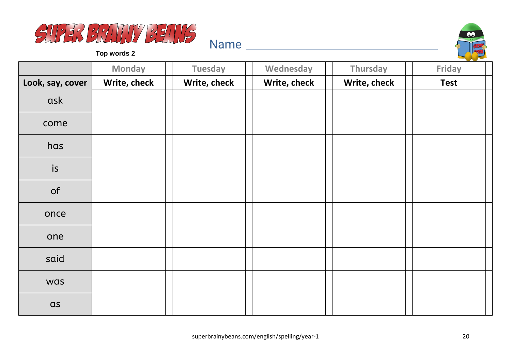



|                  | <b>Monday</b> | <b>Tuesday</b> | Wednesday    | Thursday     | Friday      |
|------------------|---------------|----------------|--------------|--------------|-------------|
| Look, say, cover | Write, check  | Write, check   | Write, check | Write, check | <b>Test</b> |
| ask              |               |                |              |              |             |
| come             |               |                |              |              |             |
| has              |               |                |              |              |             |
| is               |               |                |              |              |             |
| of               |               |                |              |              |             |
| once             |               |                |              |              |             |
| one              |               |                |              |              |             |
| said             |               |                |              |              |             |
| was              |               |                |              |              |             |
| $\alpha$ s       |               |                |              |              |             |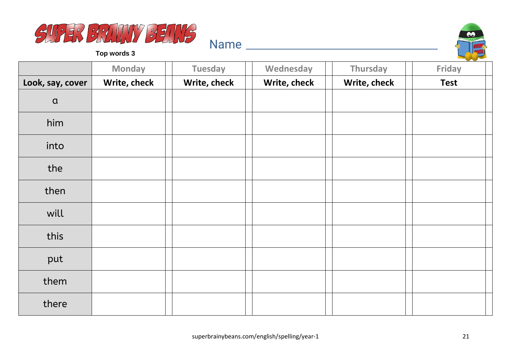



|                  | <b>Monday</b> | <b>Tuesday</b> | Wednesday    | Thursday     | <b>Friday</b> |
|------------------|---------------|----------------|--------------|--------------|---------------|
| Look, say, cover | Write, check  | Write, check   | Write, check | Write, check | <b>Test</b>   |
| $\alpha$         |               |                |              |              |               |
| him              |               |                |              |              |               |
| into             |               |                |              |              |               |
| the              |               |                |              |              |               |
| then             |               |                |              |              |               |
| will             |               |                |              |              |               |
| this             |               |                |              |              |               |
| put              |               |                |              |              |               |
| them             |               |                |              |              |               |
| there            |               |                |              |              |               |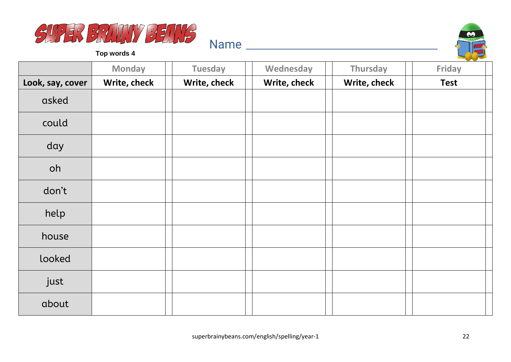



|                  | <b>Monday</b> | <b>Tuesday</b> | Wednesday    | Thursday     | Friday      |
|------------------|---------------|----------------|--------------|--------------|-------------|
| Look, say, cover | Write, check  | Write, check   | Write, check | Write, check | <b>Test</b> |
| asked            |               |                |              |              |             |
| could            |               |                |              |              |             |
| day              |               |                |              |              |             |
| oh               |               |                |              |              |             |
| don't            |               |                |              |              |             |
| help             |               |                |              |              |             |
| house            |               |                |              |              |             |
| looked           |               |                |              |              |             |
| just             |               |                |              |              |             |
| about            |               |                |              |              |             |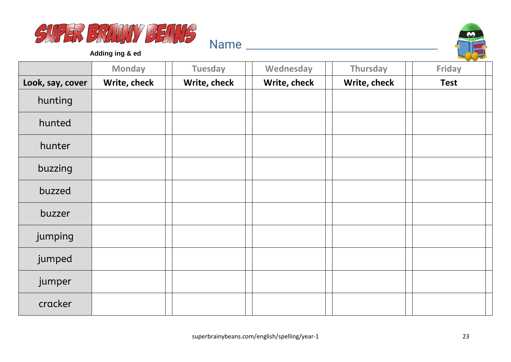



**Adding ing & ed**

|                  | <b>Monday</b> | <b>Tuesday</b> | Wednesday    | Thursday     | <b>Friday</b> |
|------------------|---------------|----------------|--------------|--------------|---------------|
| Look, say, cover | Write, check  | Write, check   | Write, check | Write, check | <b>Test</b>   |
| hunting          |               |                |              |              |               |
| hunted           |               |                |              |              |               |
| hunter           |               |                |              |              |               |
| buzzing          |               |                |              |              |               |
| buzzed           |               |                |              |              |               |
| buzzer           |               |                |              |              |               |
| jumping          |               |                |              |              |               |
| jumped           |               |                |              |              |               |
| jumper           |               |                |              |              |               |
| cracker          |               |                |              |              |               |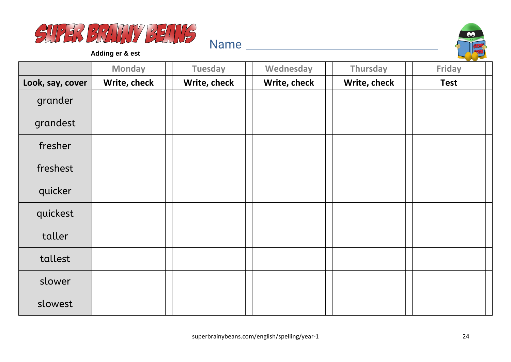



**Adding er & est**

|                  | <b>Monday</b> | <b>Tuesday</b> | Wednesday    | Thursday     | Friday      |
|------------------|---------------|----------------|--------------|--------------|-------------|
| Look, say, cover | Write, check  | Write, check   | Write, check | Write, check | <b>Test</b> |
| grander          |               |                |              |              |             |
| grandest         |               |                |              |              |             |
| fresher          |               |                |              |              |             |
| freshest         |               |                |              |              |             |
| quicker          |               |                |              |              |             |
| quickest         |               |                |              |              |             |
| taller           |               |                |              |              |             |
| tallest          |               |                |              |              |             |
| slower           |               |                |              |              |             |
| slowest          |               |                |              |              |             |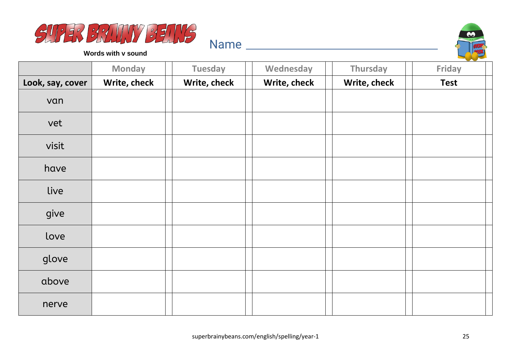



**Words with v sound**

|                  | <b>Monday</b> | <b>Tuesday</b> | Wednesday    | Thursday     | <b>Friday</b> |
|------------------|---------------|----------------|--------------|--------------|---------------|
| Look, say, cover | Write, check  | Write, check   | Write, check | Write, check | <b>Test</b>   |
| van              |               |                |              |              |               |
| vet              |               |                |              |              |               |
| visit            |               |                |              |              |               |
| have             |               |                |              |              |               |
| live             |               |                |              |              |               |
| give             |               |                |              |              |               |
| love             |               |                |              |              |               |
| glove            |               |                |              |              |               |
| above            |               |                |              |              |               |
| nerve            |               |                |              |              |               |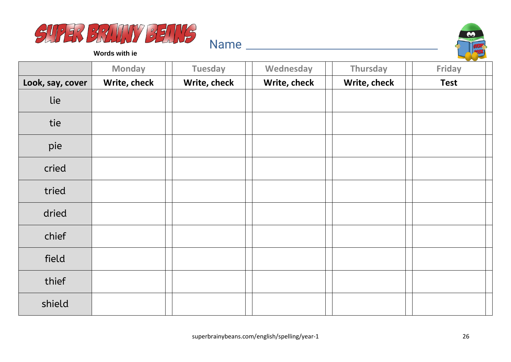



**Words with ie**

|                  | <b>Monday</b> | <b>Tuesday</b> | Wednesday    | Thursday     | <b>Friday</b> |
|------------------|---------------|----------------|--------------|--------------|---------------|
| Look, say, cover | Write, check  | Write, check   | Write, check | Write, check | <b>Test</b>   |
| lie              |               |                |              |              |               |
| tie              |               |                |              |              |               |
| pie              |               |                |              |              |               |
| cried            |               |                |              |              |               |
| tried            |               |                |              |              |               |
| dried            |               |                |              |              |               |
| chief            |               |                |              |              |               |
| field            |               |                |              |              |               |
| thief            |               |                |              |              |               |
| shield           |               |                |              |              |               |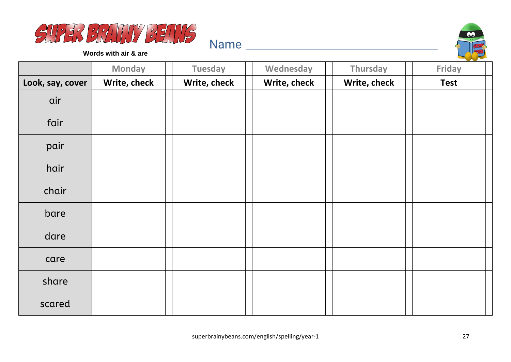



**Words with air & are**

|                  | <b>Monday</b> | <b>Tuesday</b> | Wednesday    | Thursday     | $\sim$<br><b>Friday</b> |
|------------------|---------------|----------------|--------------|--------------|-------------------------|
| Look, say, cover | Write, check  | Write, check   | Write, check | Write, check | <b>Test</b>             |
| air              |               |                |              |              |                         |
| fair             |               |                |              |              |                         |
| pair             |               |                |              |              |                         |
| hair             |               |                |              |              |                         |
| chair            |               |                |              |              |                         |
| bare             |               |                |              |              |                         |
| dare             |               |                |              |              |                         |
| care             |               |                |              |              |                         |
| share            |               |                |              |              |                         |
| scared           |               |                |              |              |                         |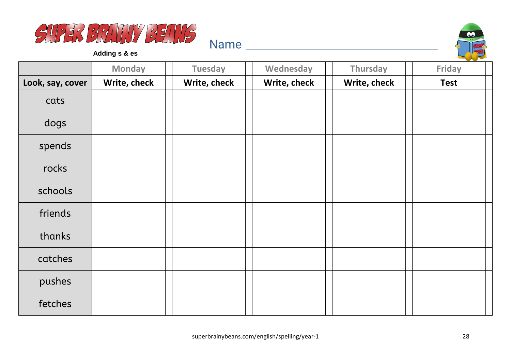



**Adding s & es**

|                  | <b>Monday</b> | <b>Tuesday</b> | Wednesday    | Thursday     | <b>Contract Contract Contract</b><br><b>Friday</b> |
|------------------|---------------|----------------|--------------|--------------|----------------------------------------------------|
| Look, say, cover | Write, check  | Write, check   | Write, check | Write, check | <b>Test</b>                                        |
| cats             |               |                |              |              |                                                    |
| dogs             |               |                |              |              |                                                    |
| spends           |               |                |              |              |                                                    |
| rocks            |               |                |              |              |                                                    |
| schools          |               |                |              |              |                                                    |
| friends          |               |                |              |              |                                                    |
| thanks           |               |                |              |              |                                                    |
| catches          |               |                |              |              |                                                    |
| pushes           |               |                |              |              |                                                    |
| fetches          |               |                |              |              |                                                    |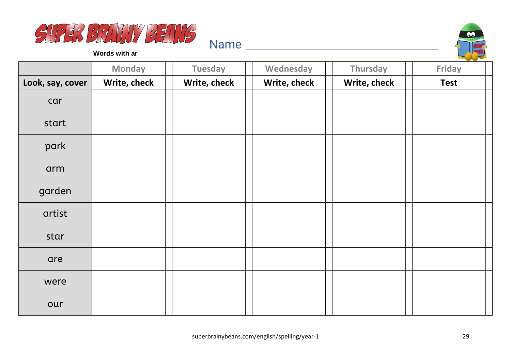



**Words with ar**

|                  | <b>Monday</b> | <b>Tuesday</b> | Wednesday    | Thursday     | Friday      |
|------------------|---------------|----------------|--------------|--------------|-------------|
| Look, say, cover | Write, check  | Write, check   | Write, check | Write, check | <b>Test</b> |
| car              |               |                |              |              |             |
| start            |               |                |              |              |             |
| park             |               |                |              |              |             |
| arm              |               |                |              |              |             |
| garden           |               |                |              |              |             |
| artist           |               |                |              |              |             |
| star             |               |                |              |              |             |
| are              |               |                |              |              |             |
| were             |               |                |              |              |             |
| our              |               |                |              |              |             |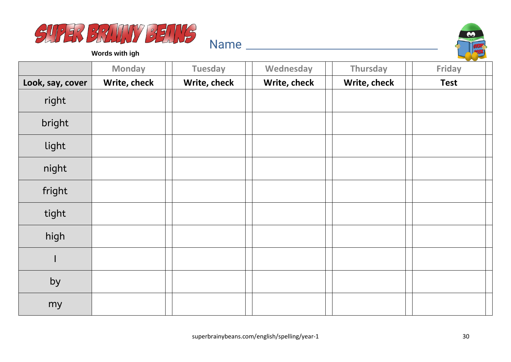



**Words with igh**

|                  | <b>Monday</b> | <b>Tuesday</b> | Wednesday    | Thursday     | $\sim$<br>Friday |
|------------------|---------------|----------------|--------------|--------------|------------------|
| Look, say, cover | Write, check  | Write, check   | Write, check | Write, check | <b>Test</b>      |
| right            |               |                |              |              |                  |
| bright           |               |                |              |              |                  |
| light            |               |                |              |              |                  |
| night            |               |                |              |              |                  |
| fright           |               |                |              |              |                  |
| tight            |               |                |              |              |                  |
| high             |               |                |              |              |                  |
| н                |               |                |              |              |                  |
| by               |               |                |              |              |                  |
| my               |               |                |              |              |                  |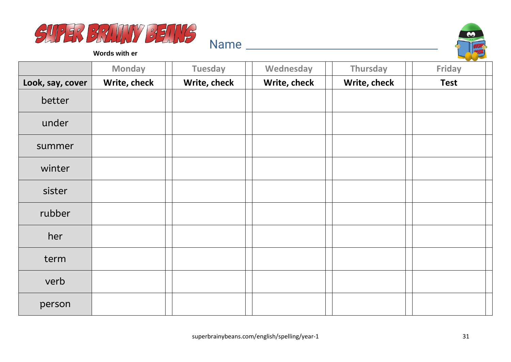



**Words with er**

|                  | <b>Monday</b> | <b>Tuesday</b> | Wednesday    | Thursday     | $\sim$<br><b>Friday</b> |
|------------------|---------------|----------------|--------------|--------------|-------------------------|
| Look, say, cover | Write, check  | Write, check   | Write, check | Write, check | <b>Test</b>             |
| better           |               |                |              |              |                         |
| under            |               |                |              |              |                         |
| summer           |               |                |              |              |                         |
| winter           |               |                |              |              |                         |
| sister           |               |                |              |              |                         |
| rubber           |               |                |              |              |                         |
| her              |               |                |              |              |                         |
| term             |               |                |              |              |                         |
| verb             |               |                |              |              |                         |
| person           |               |                |              |              |                         |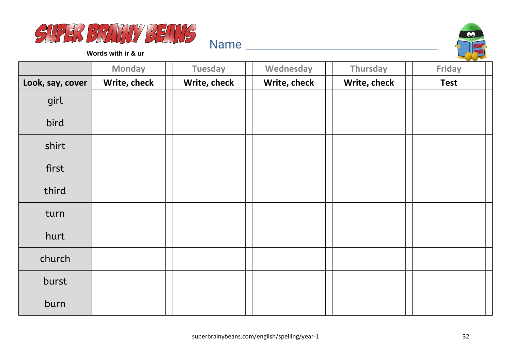



**Words with ir & ur**

|                  | <b>Monday</b> | <b>Tuesday</b> | Wednesday    | Thursday     | $\sim$<br><b>Friday</b> |
|------------------|---------------|----------------|--------------|--------------|-------------------------|
| Look, say, cover | Write, check  | Write, check   | Write, check | Write, check | <b>Test</b>             |
| girl             |               |                |              |              |                         |
| bird             |               |                |              |              |                         |
| shirt            |               |                |              |              |                         |
| first            |               |                |              |              |                         |
| third            |               |                |              |              |                         |
| turn             |               |                |              |              |                         |
| hurt             |               |                |              |              |                         |
| church           |               |                |              |              |                         |
| burst            |               |                |              |              |                         |
| burn             |               |                |              |              |                         |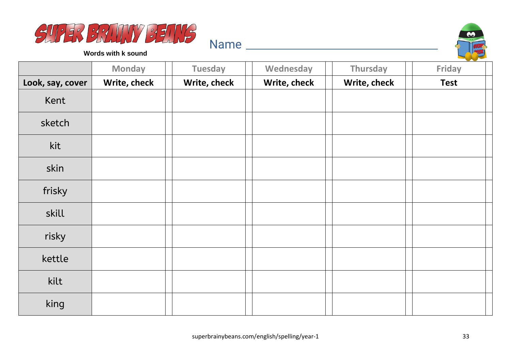



**Words with k sound**

|                  | <b>Monday</b> | <b>Tuesday</b> | Wednesday    | Thursday     | Friday      |
|------------------|---------------|----------------|--------------|--------------|-------------|
| Look, say, cover | Write, check  | Write, check   | Write, check | Write, check | <b>Test</b> |
| Kent             |               |                |              |              |             |
| sketch           |               |                |              |              |             |
| kit              |               |                |              |              |             |
| skin             |               |                |              |              |             |
| frisky           |               |                |              |              |             |
| skill            |               |                |              |              |             |
| risky            |               |                |              |              |             |
| kettle           |               |                |              |              |             |
| kilt             |               |                |              |              |             |
| king             |               |                |              |              |             |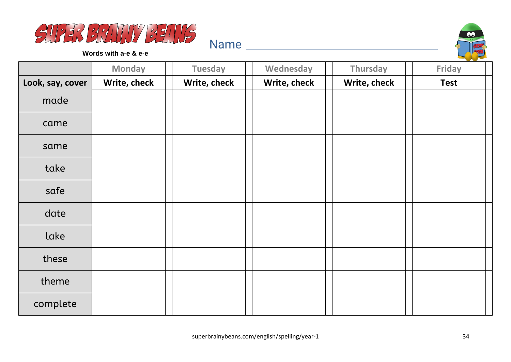



**Words with a-e & e-e**

|                  | <b>Monday</b> | <b>Tuesday</b> | Wednesday    | Thursday     | Friday      |
|------------------|---------------|----------------|--------------|--------------|-------------|
| Look, say, cover | Write, check  | Write, check   | Write, check | Write, check | <b>Test</b> |
| made             |               |                |              |              |             |
| came             |               |                |              |              |             |
| same             |               |                |              |              |             |
| take             |               |                |              |              |             |
| safe             |               |                |              |              |             |
| date             |               |                |              |              |             |
| lake             |               |                |              |              |             |
| these            |               |                |              |              |             |
| theme            |               |                |              |              |             |
| complete         |               |                |              |              |             |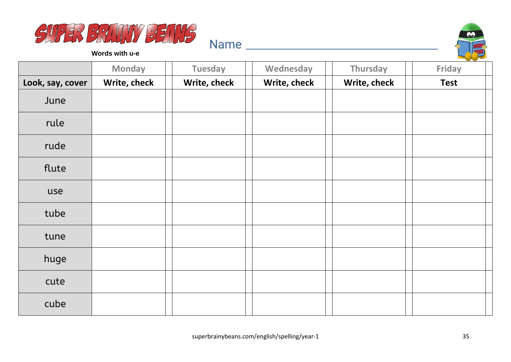



**Words with u-e**

|                  | <b>Monday</b> | <b>Tuesday</b> | Wednesday    | Thursday     | Friday      |
|------------------|---------------|----------------|--------------|--------------|-------------|
| Look, say, cover | Write, check  | Write, check   | Write, check | Write, check | <b>Test</b> |
| June             |               |                |              |              |             |
| rule             |               |                |              |              |             |
| rude             |               |                |              |              |             |
| flute            |               |                |              |              |             |
| use              |               |                |              |              |             |
| tube             |               |                |              |              |             |
| tune             |               |                |              |              |             |
| huge             |               |                |              |              |             |
| cute             |               |                |              |              |             |
| cube             |               |                |              |              |             |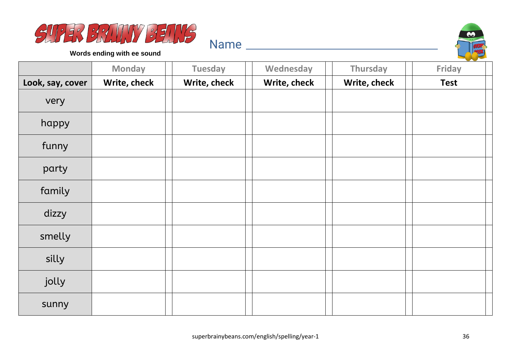



**Words ending with ee sound**

|                  | <b>Monday</b> | <b>Tuesday</b> | Wednesday    | <b>Thursday</b> | Friday      |
|------------------|---------------|----------------|--------------|-----------------|-------------|
| Look, say, cover | Write, check  | Write, check   | Write, check | Write, check    | <b>Test</b> |
| very             |               |                |              |                 |             |
| happy            |               |                |              |                 |             |
| funny            |               |                |              |                 |             |
| party            |               |                |              |                 |             |
| family           |               |                |              |                 |             |
| dizzy            |               |                |              |                 |             |
| smelly           |               |                |              |                 |             |
| silly            |               |                |              |                 |             |
| jolly            |               |                |              |                 |             |
| sunny            |               |                |              |                 |             |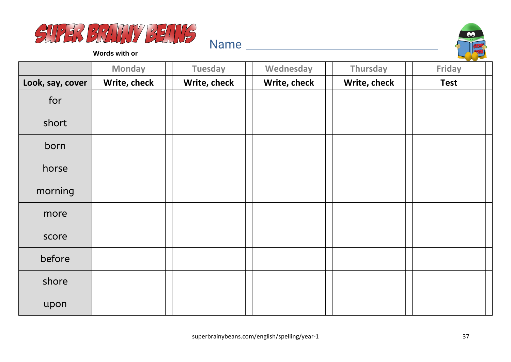



**Words with or**

|                  | <b>Monday</b> | <b>Tuesday</b> | Wednesday    | Thursday     | Friday      |
|------------------|---------------|----------------|--------------|--------------|-------------|
| Look, say, cover | Write, check  | Write, check   | Write, check | Write, check | <b>Test</b> |
| for              |               |                |              |              |             |
| short            |               |                |              |              |             |
| born             |               |                |              |              |             |
| horse            |               |                |              |              |             |
| morning          |               |                |              |              |             |
| more             |               |                |              |              |             |
| score            |               |                |              |              |             |
| before           |               |                |              |              |             |
| shore            |               |                |              |              |             |
| upon             |               |                |              |              |             |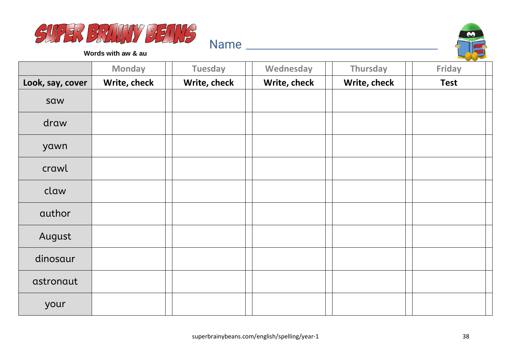



**Words with aw & au**

|                  | <b>Monday</b> | <b>Tuesday</b> | Wednesday    | Thursday     | <b>Friday</b> |
|------------------|---------------|----------------|--------------|--------------|---------------|
| Look, say, cover | Write, check  | Write, check   | Write, check | Write, check | <b>Test</b>   |
| saw              |               |                |              |              |               |
| draw             |               |                |              |              |               |
| yawn             |               |                |              |              |               |
| crawl            |               |                |              |              |               |
| claw             |               |                |              |              |               |
| author           |               |                |              |              |               |
| August           |               |                |              |              |               |
| dinosaur         |               |                |              |              |               |
| astronaut        |               |                |              |              |               |
| your             |               |                |              |              |               |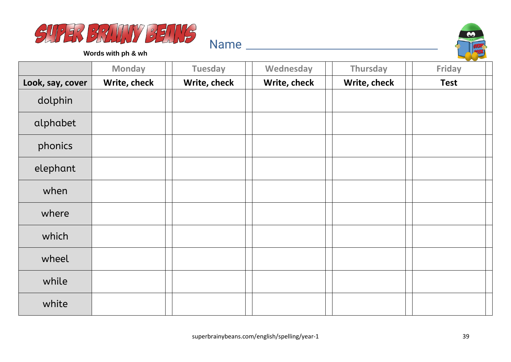



**Words with ph & wh**

|                  | <b>Monday</b> | <b>Tuesday</b> | Wednesday    | Thursday     | Friday      |
|------------------|---------------|----------------|--------------|--------------|-------------|
| Look, say, cover | Write, check  | Write, check   | Write, check | Write, check | <b>Test</b> |
| dolphin          |               |                |              |              |             |
| alphabet         |               |                |              |              |             |
| phonics          |               |                |              |              |             |
| elephant         |               |                |              |              |             |
| when             |               |                |              |              |             |
| where            |               |                |              |              |             |
| which            |               |                |              |              |             |
| wheel            |               |                |              |              |             |
| while            |               |                |              |              |             |
| white            |               |                |              |              |             |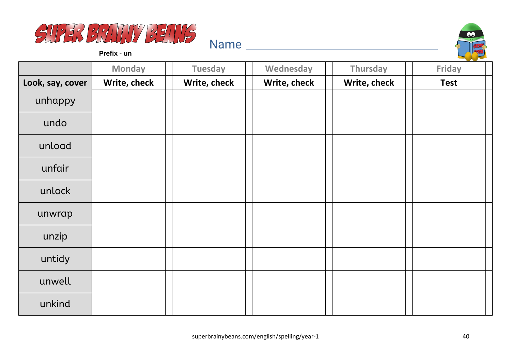



**Prefix - un**

|                  | <b>Monday</b> | <b>Tuesday</b> | Wednesday    | Thursday     | <b>Friday</b> |
|------------------|---------------|----------------|--------------|--------------|---------------|
| Look, say, cover | Write, check  | Write, check   | Write, check | Write, check | <b>Test</b>   |
| unhappy          |               |                |              |              |               |
| undo             |               |                |              |              |               |
| unload           |               |                |              |              |               |
| unfair           |               |                |              |              |               |
| unlock           |               |                |              |              |               |
| unwrap           |               |                |              |              |               |
| unzip            |               |                |              |              |               |
| untidy           |               |                |              |              |               |
| unwell           |               |                |              |              |               |
| unkind           |               |                |              |              |               |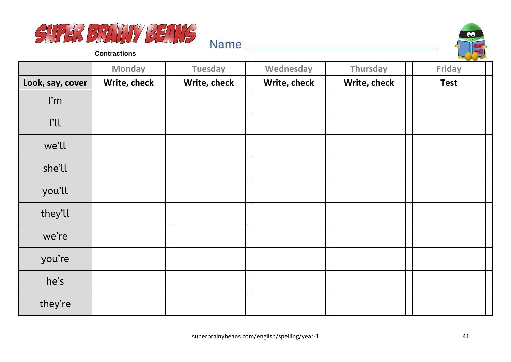



**Contractions**

|                         | <b>Monday</b> | <b>Tuesday</b> | Wednesday    | Thursday     | Friday      |
|-------------------------|---------------|----------------|--------------|--------------|-------------|
| Look, say, cover        | Write, check  | Write, check   | Write, check | Write, check | <b>Test</b> |
| $\mathsf{I}'\mathsf{m}$ |               |                |              |              |             |
| l'Il                    |               |                |              |              |             |
| we'll                   |               |                |              |              |             |
| she'll                  |               |                |              |              |             |
| you'll                  |               |                |              |              |             |
| they'll                 |               |                |              |              |             |
| we're                   |               |                |              |              |             |
| you're                  |               |                |              |              |             |
| he's                    |               |                |              |              |             |
| they're                 |               |                |              |              |             |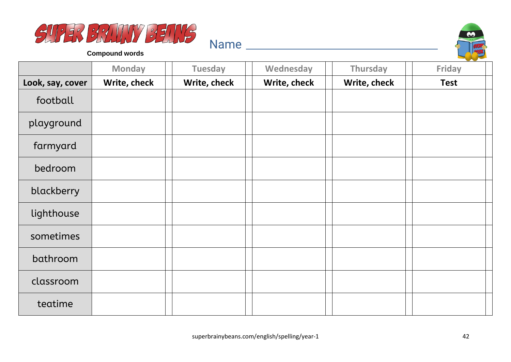



**Compound words**

|                  | <b>Monday</b> | <b>Tuesday</b> | Wednesday    | Thursday     | and the state of the con-<br>Friday |
|------------------|---------------|----------------|--------------|--------------|-------------------------------------|
| Look, say, cover | Write, check  | Write, check   | Write, check | Write, check | <b>Test</b>                         |
| football         |               |                |              |              |                                     |
| playground       |               |                |              |              |                                     |
| farmyard         |               |                |              |              |                                     |
| bedroom          |               |                |              |              |                                     |
| blackberry       |               |                |              |              |                                     |
| lighthouse       |               |                |              |              |                                     |
| sometimes        |               |                |              |              |                                     |
| bathroom         |               |                |              |              |                                     |
| classroom        |               |                |              |              |                                     |
| teatime          |               |                |              |              |                                     |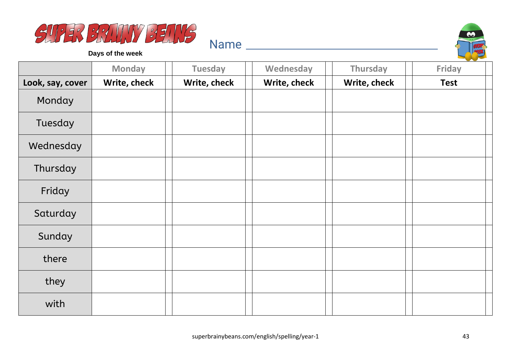



**Days of the week**

|                  | <b>Monday</b> | <b>Tuesday</b> | Wednesday    | Thursday     | and the state of the con-<br><b>Friday</b> |
|------------------|---------------|----------------|--------------|--------------|--------------------------------------------|
| Look, say, cover | Write, check  | Write, check   | Write, check | Write, check | <b>Test</b>                                |
| Monday           |               |                |              |              |                                            |
| Tuesday          |               |                |              |              |                                            |
| Wednesday        |               |                |              |              |                                            |
| Thursday         |               |                |              |              |                                            |
| Friday           |               |                |              |              |                                            |
| Saturday         |               |                |              |              |                                            |
| Sunday           |               |                |              |              |                                            |
| there            |               |                |              |              |                                            |
| they             |               |                |              |              |                                            |
| with             |               |                |              |              |                                            |